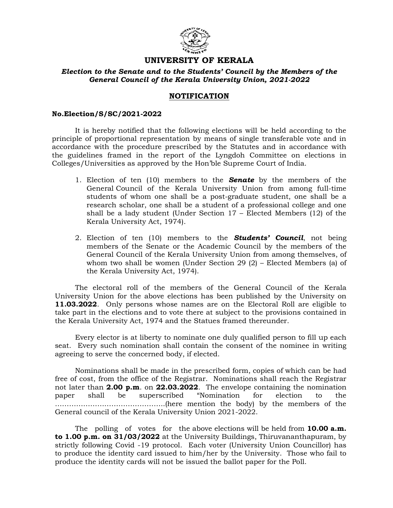

# UNIVERSITY OF KERALA

### Election to the Senate and to the Students' Council by the Members of the General Council of the Kerala University Union, 2021-2022

## NOTIFICATION

#### No.Election/S/SC/2021-2022

 It is hereby notified that the following elections will be held according to the principle of proportional representation by means of single transferable vote and in accordance with the procedure prescribed by the Statutes and in accordance with the guidelines framed in the report of the Lyngdoh Committee on elections in Colleges/Universities as approved by the Hon'ble Supreme Court of India.

- 1. Election of ten (10) members to the **Senate** by the members of the General Council of the Kerala University Union from among full-time students of whom one shall be a post-graduate student, one shall be a research scholar, one shall be a student of a professional college and one shall be a lady student (Under Section 17 – Elected Members (12) of the Kerala University Act, 1974).
- 2. Election of ten  $(10)$  members to the **Students' Council**, not being members of the Senate or the Academic Council by the members of the General Council of the Kerala University Union from among themselves, of whom two shall be women (Under Section 29 (2) – Elected Members (a) of the Kerala University Act, 1974).

 The electoral roll of the members of the General Council of the Kerala University Union for the above elections has been published by the University on 11.03.2022. Only persons whose names are on the Electoral Roll are eligible to take part in the elections and to vote there at subject to the provisions contained in the Kerala University Act, 1974 and the Statues framed thereunder.

 Every elector is at liberty to nominate one duly qualified person to fill up each seat. Every such nomination shall contain the consent of the nominee in writing agreeing to serve the concerned body, if elected.

 Nominations shall be made in the prescribed form, copies of which can be had free of cost, from the office of the Registrar. Nominations shall reach the Registrar not later than 2.00  $p.m.$  on 22.03.2022. The envelope containing the nomination paper shall be superscribed "Nomination for election to the ………………………………………..(here mention the body) by the members of the General council of the Kerala University Union 2021-2022.

The polling of votes for the above elections will be held from  $10.00 a.m.$ to 1.00 p.m. on 31/03/2022 at the University Buildings, Thiruvananthapuram, by strictly following Covid -19 protocol. Each voter (University Union Councillor) has to produce the identity card issued to him/her by the University. Those who fail to produce the identity cards will not be issued the ballot paper for the Poll.